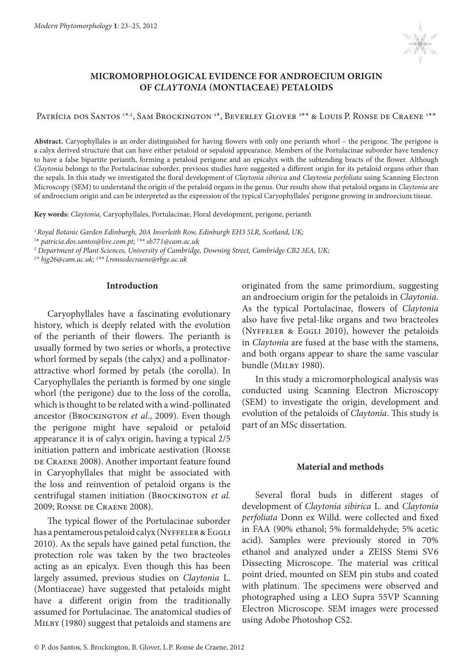

# **MICROMORPHOLOGICAL EVIDENCE FOR ANDROECIUM ORIGIN OF** *CLAYTONIA* **(MONTIACEAE) PETALOIDS**

Patrícia dos Santos 1\*,2, Sam Brockington 2\*, Beverley Glover 2\*\* & Louis P. Ronse de Craene 1\*\*

**Abstract.** Caryophyllales is an order distinguished for having flowers with only one perianth whorl – the perigone. The perigone is a calyx derived structure that can have either petaloid or sepaloid appearance. Members of the Portulacinae suborder have tendency to have a false bipartite perianth, forming a petaloid perigone and an epicalyx with the subtending bracts of the flower. Although *Claytonia* belongs to the Portulacinae suborder, previous studies have suggested a different origin for its petaloid organs other than the sepals. In this study we investigated the floral development of *Claytonia sibirica* and *Claytonia perfoliata* using Scanning Electron Microscopy (SEM) to understand the origin of the petaloid organs in the genus. Our results show that petaloid organs in *Claytonia* are of androecium origin and can be interpreted as the expression of the typical Caryophyllales' perigone growing in androecium tissue.

**Key words:** *Claytonia,* Caryophyllales, Portulacinae, Floral development, perigone, perianth

*1 Royal Botanic Garden Edinburgh, 20A Inverleith Row, Edinburgh EH3 5LR, Scotland, UK;*

1 \* *patricia.dos.santos@live.com.pt; 1 \*\* sb771@cam.ac.uk*

*2 Department of Plant Sciences, University of Cambridge, Downing Street, Cambridge CB2 3EA, UK;*

*2 \* bjg26@cam.ac.uk; 2 \*\* l.ronsedecraene@rbge.ac.uk*

### **Introduction**

Caryophyllales have a fascinating evolutionary history, which is deeply related with the evolution of the perianth of their flowers. The perianth is usually formed by two series or whorls, a protective whorl formed by sepals (the calyx) and a pollinatorattractive whorl formed by petals (the corolla). In Caryophyllales the perianth is formed by one single whorl (the perigone) due to the loss of the corolla, which is thought to be related with a wind-pollinated ancestor (BROCKINGTON et al., 2009). Even though the perigone might have sepaloid or petaloid appearance it is of calyx origin, having a typical 2/5 initiation pattern and imbricate aestivation (Ronse DE CRAENE 2008). Another important feature found in Caryophyllales that might be associated with the loss and reinvention of petaloid organs is the centrifugal stamen initiation (BROCKINGTON et al. 2009; Ronse de Craene 2008).

The typical flower of the Portulacinae suborder has a pentamerous petaloid calyx (NYFFELER & EGGLI 2010). As the sepals have gained petal function, the protection role was taken by the two bracteoles acting as an epicalyx. Even though this has been largely assumed, previous studies on *Claytonia*  L. (Montiaceae) have suggested that petaloids might have a different origin from the traditionally assumed for Portulacinae. The anatomical studies of MILBY (1980) suggest that petaloids and stamens are

originated from the same primordium, suggesting an androecium origin for the petaloids in *Claytonia*. As the typical Portulacinae, flowers of *Claytonia* also have five petal-like organs and two bracteoles (Nyffeler & Eggli 2010), however the petaloids in *Claytonia* are fused at the base with the stamens, and both organs appear to share the same vascular bundle (MILBY 1980).

In this study a micromorphological analysis was conducted using Scanning Electron Microscopy (SEM) to investigate the origin, development and evolution of the petaloids of *Claytonia*. This study is part of an MSc dissertation.

## **Material and methods**

Several floral buds in different stages of development of *Claytonia sibirica* L. and *Claytonia perfoliata* Donn ex Willd. were collected and fixed in FAA (90% ethanol; 5% formaldehyde; 5% acetic acid). Samples were previously stored in 70% ethanol and analyzed under a ZEISS Stemi SV6 Dissecting Microscope. The material was critical point dried, mounted on SEM pin stubs and coated with platinum. The specimens were observed and photographed using a LEO Supra 55VP Scanning Electron Microscope. SEM images were processed using Adobe Photoshop CS2.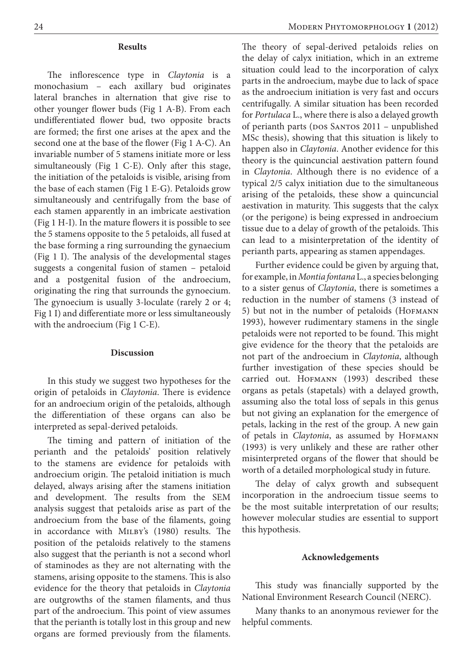#### **Results**

The inflorescence type in *Claytonia* is a monochasium – each axillary bud originates lateral branches in alternation that give rise to other younger flower buds (Fig 1 A-B). From each undifferentiated flower bud, two opposite bracts are formed; the first one arises at the apex and the second one at the base of the flower (Fig 1 A-C). An invariable number of 5 stamens initiate more or less simultaneously (Fig 1 C-E). Only after this stage, the initiation of the petaloids is visible, arising from the base of each stamen (Fig 1 E-G). Petaloids grow simultaneously and centrifugally from the base of each stamen apparently in an imbricate aestivation (Fig 1 H-I). In the mature flowers it is possible to see the 5 stamens opposite to the 5 petaloids, all fused at the base forming a ring surrounding the gynaecium (Fig 1 I). The analysis of the developmental stages suggests a congenital fusion of stamen – petaloid and a postgenital fusion of the androecium, originating the ring that surrounds the gynoecium. The gynoecium is usually 3-loculate (rarely 2 or 4; Fig 1 I) and differentiate more or less simultaneously with the androecium (Fig 1 C-E).

### **Discussion**

In this study we suggest two hypotheses for the origin of petaloids in *Claytonia*. There is evidence for an androecium origin of the petaloids, although the differentiation of these organs can also be interpreted as sepal-derived petaloids.

The timing and pattern of initiation of the perianth and the petaloids' position relatively to the stamens are evidence for petaloids with androecium origin. The petaloid initiation is much delayed, always arising after the stamens initiation and development. The results from the SEM analysis suggest that petaloids arise as part of the androecium from the base of the filaments, going in accordance with Milby's (1980) results. The position of the petaloids relatively to the stamens also suggest that the perianth is not a second whorl of staminodes as they are not alternating with the stamens, arising opposite to the stamens. This is also evidence for the theory that petaloids in *Claytonia* are outgrowths of the stamen filaments, and thus part of the androecium. This point of view assumes that the perianth is totally lost in this group and new organs are formed previously from the filaments.

The theory of sepal-derived petaloids relies on the delay of calyx initiation, which in an extreme situation could lead to the incorporation of calyx parts in the androecium, maybe due to lack of space as the androecium initiation is very fast and occurs centrifugally. A similar situation has been recorded for *Portulaca* L., where there is also a delayed growth of perianth parts (DOS SANTOS 2011 – unpublished MSc thesis), showing that this situation is likely to happen also in *Claytonia*. Another evidence for this theory is the quincuncial aestivation pattern found in *Claytonia*. Although there is no evidence of a typical 2/5 calyx initiation due to the simultaneous arising of the petaloids, these show a quincuncial aestivation in maturity. This suggests that the calyx (or the perigone) is being expressed in androecium tissue due to a delay of growth of the petaloids. This can lead to a misinterpretation of the identity of perianth parts, appearing as stamen appendages.

Further evidence could be given by arguing that, for example, in *Montia fontana* L., a species belonging to a sister genus of *Claytonia*, there is sometimes a reduction in the number of stamens (3 instead of 5) but not in the number of petaloids (HOFMANN 1993), however rudimentary stamens in the single petaloids were not reported to be found. This might give evidence for the theory that the petaloids are not part of the androecium in *Claytonia*, although further investigation of these species should be carried out. Hofmann (1993) described these organs as petals (stapetals) with a delayed growth, assuming also the total loss of sepals in this genus but not giving an explanation for the emergence of petals, lacking in the rest of the group. A new gain of petals in *Claytonia*, as assumed by HOFMANN (1993) is very unlikely and these are rather other misinterpreted organs of the flower that should be worth of a detailed morphological study in future.

The delay of calyx growth and subsequent incorporation in the androecium tissue seems to be the most suitable interpretation of our results; however molecular studies are essential to support this hypothesis.

#### **Acknowledgements**

This study was financially supported by the National Environment Research Council (NERC).

Many thanks to an anonymous reviewer for the helpful comments.